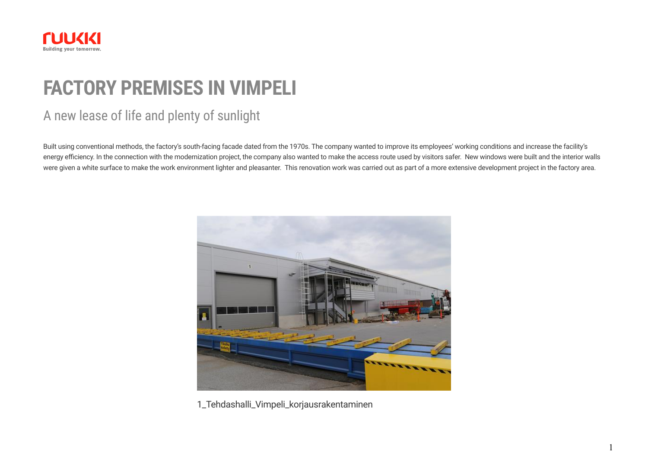

# **FACTORY PREMISES IN VIMPELI**

### A new lease of life and plenty of sunlight

Built using conventional methods, the factory's south-facing facade dated from the 1970s. The company wanted to improve its employees' working conditions and increase the facility's energy efficiency. In the connection with the modernization project, the company also wanted to make the access route used by visitors safer. New windows were built and the interior walls were given a white surface to make the work environment lighter and pleasanter. This renovation work was carried out as part of a more extensive development project in the factory area.



1\_Tehdashalli\_Vimpeli\_korjausrakentaminen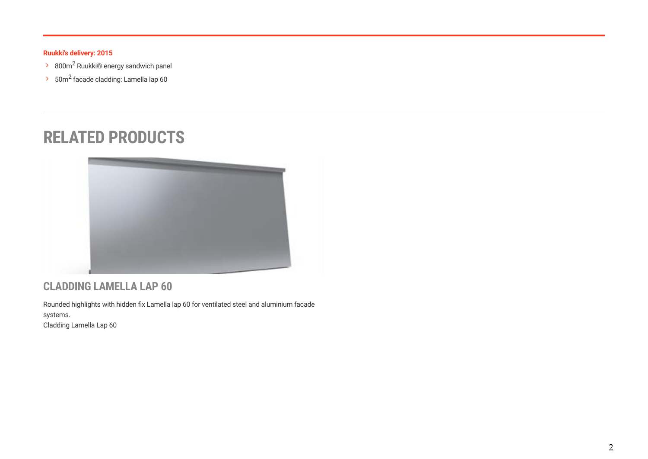#### **Ruukki's delivery: 2015**

- $\geq$  800m<sup>2</sup> Ruukki® energy sandwich panel
- $\geq$  50m<sup>2</sup> facade cladding: Lamella lap 60

## **RELATED PRODUCTS**



### **CLADDING LAMELLA LAP 60**

Rounded highlights with hidden fix Lamella lap 60 for ventilated steel and aluminium facade systems. [Cladding Lamella Lap 60](https://www.ruukki.com/b2b/products/facade-claddings/cladding-lamellas/facade-claddings-details---cladding-lamella/lamella-lap-60)